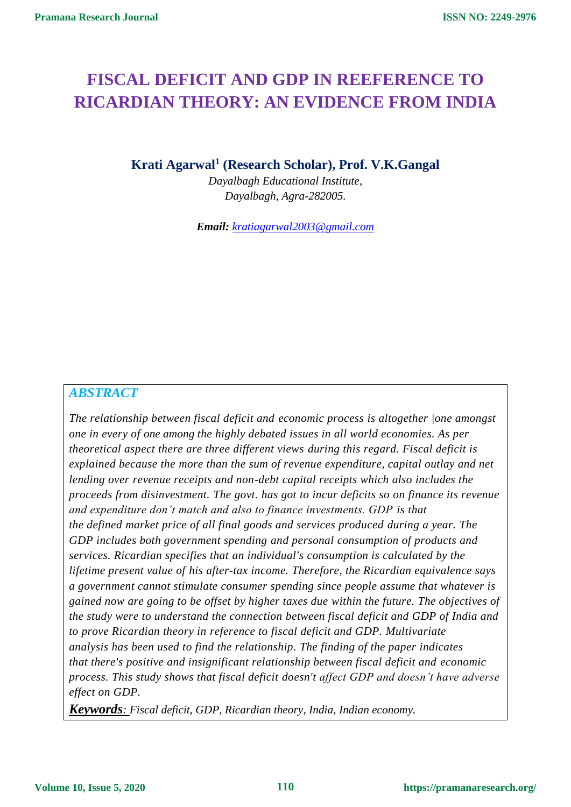# **FISCAL DEFICIT AND GDP IN REEFERENCE TO RICARDIAN THEORY: AN EVIDENCE FROM INDIA**

**Krati Agarwal<sup>1</sup> (Research Scholar), Prof. V.K.Gangal**

*Dayalbagh Educational Institute, Dayalbagh, Agra-282005.*

*Email: [kratiagarwal2003@gmail.com](mailto:kratiagarwal2003@gmail.com)*

## *ABSTRACT*

*The relationship between fiscal deficit and economic process is altogether |one amongst one in every of one among the highly debated issues in all world economies. As per theoretical aspect there are three different views during this regard. Fiscal deficit is explained because the more than the sum of revenue expenditure, capital outlay and net lending over revenue receipts and non-debt capital receipts which also includes the proceeds from disinvestment. The govt. has got to incur deficits so on finance its revenue and expenditure don't match and also to finance investments. GDP is that the defined market price of all final goods and services produced during a year. The GDP includes both government spending and personal consumption of products and services. Ricardian specifies that an individual's consumption is calculated by the lifetime present value of his after-tax income. Therefore, the Ricardian equivalence says a government cannot stimulate consumer spending since people assume that whatever is gained now are going to be offset by higher taxes due within the future. The objectives of the study were to understand the connection between fiscal deficit and GDP of India and to prove Ricardian theory in reference to fiscal deficit and GDP. Multivariate analysis has been used to find the relationship. The finding of the paper indicates that there's positive and insignificant relationship between fiscal deficit and economic process. This study shows that fiscal deficit doesn't affect GDP and doesn't have adverse effect on GDP.*

*Keywords: Fiscal deficit, GDP, Ricardian theory, India, Indian economy.*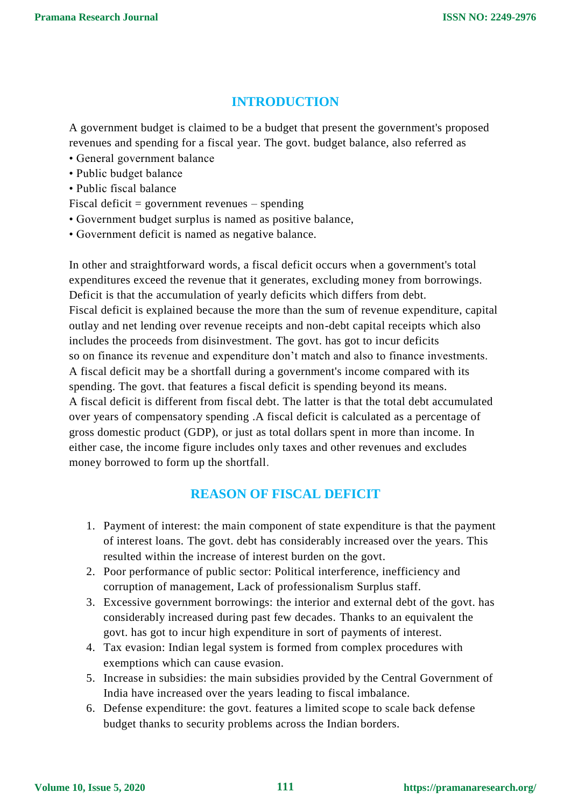# **INTRODUCTION**

A government budget is claimed to be a budget that present the government's proposed revenues and spending for a fiscal year. The govt. budget balance, also referred as

- General government balance
- Public budget balance
- Public fiscal balance
- Fiscal deficit = government revenues spending
- Government budget surplus is named as positive balance,
- Government deficit is named as negative balance.

In other and straightforward words, a fiscal deficit occurs when a government's total expenditures exceed the revenue that it generates, excluding money from borrowings. Deficit is that the accumulation of yearly deficits which differs from debt. Fiscal deficit is explained because the more than the sum of revenue expenditure, capital outlay and net lending over revenue receipts and non-debt capital receipts which also includes the proceeds from disinvestment. The govt. has got to incur deficits so on finance its revenue and expenditure don't match and also to finance investments. A fiscal deficit may be a shortfall during a government's income compared with its spending. The govt. that features a fiscal deficit is spending beyond its means. A fiscal deficit is different from fiscal debt. The latter is that the total debt accumulated over years of compensatory spending .A fiscal deficit is calculated as a percentage of gross domestic product (GDP), or just as total dollars spent in more than income. In either case, the income figure includes only taxes and other revenues and excludes money borrowed to form up the shortfall.

# **REASON OF FISCAL DEFICIT**

- 1. Payment of interest: the main component of state expenditure is that the payment of interest loans. The govt. debt has considerably increased over the years. This resulted within the increase of interest burden on the govt.
- 2. Poor performance of public sector: Political interference, inefficiency and corruption of management, Lack of professionalism Surplus staff.
- 3. Excessive government borrowings: the interior and external debt of the govt. has considerably increased during past few decades. Thanks to an equivalent the govt. has got to incur high expenditure in sort of payments of interest.
- 4. Tax evasion: Indian legal system is formed from complex procedures with exemptions which can cause evasion.
- 5. Increase in subsidies: the main subsidies provided by the Central Government of India have increased over the years leading to fiscal imbalance.
- 6. Defense expenditure: the govt. features a limited scope to scale back defense budget thanks to security problems across the Indian borders.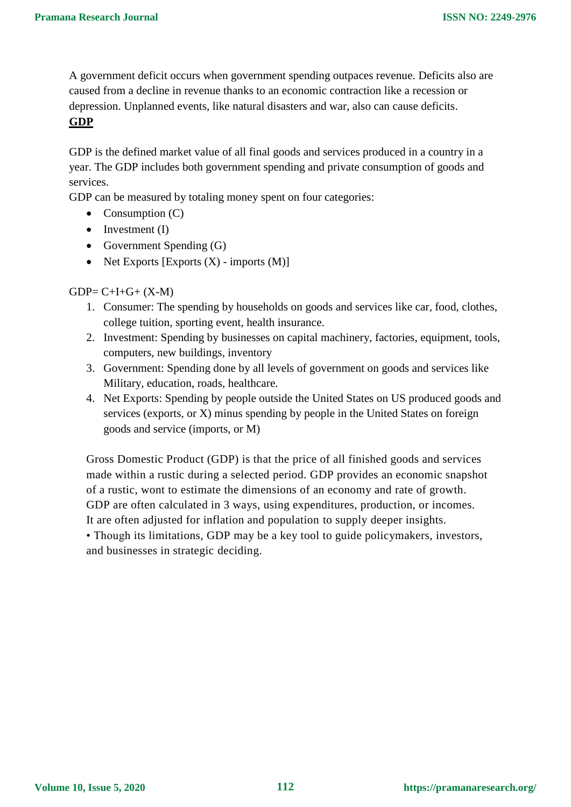A government deficit occurs when government spending outpaces revenue. Deficits also are caused from a decline in revenue thanks to an economic contraction like a recession or depression. Unplanned events, like natural disasters and war, also can cause deficits. **GDP**

GDP is the defined market value of all final goods and services produced in a country in a year. The GDP includes both government spending and private consumption of goods and services.

GDP can be measured by totaling money spent on four categories:

- Consumption  $(C)$
- $\bullet$  Investment (I)
- Government Spending  $(G)$
- Net Exports  $[Express(X) imports (M)]$

 $GDP = C + I + G + (X - M)$ 

- 1. Consumer: The spending by households on goods and services like car, food, clothes, college tuition, sporting event, health insurance.
- 2. Investment: Spending by businesses on capital machinery, factories, equipment, tools, computers, new buildings, inventory
- 3. Government: Spending done by all levels of government on goods and services like Military, education, roads, healthcare.
- 4. Net Exports: Spending by people outside the United States on US produced goods and services (exports, or X) minus spending by people in the United States on foreign goods and service (imports, or M)

Gross Domestic Product (GDP) is that the price of all finished goods and services made within a rustic during a selected period. GDP provides an economic snapshot of a rustic, wont to estimate the dimensions of an economy and rate of growth. GDP are often calculated in 3 ways, using expenditures, production, or incomes. It are often adjusted for inflation and population to supply deeper insights.

• Though its limitations, GDP may be a key tool to guide policymakers, investors, and businesses in strategic deciding.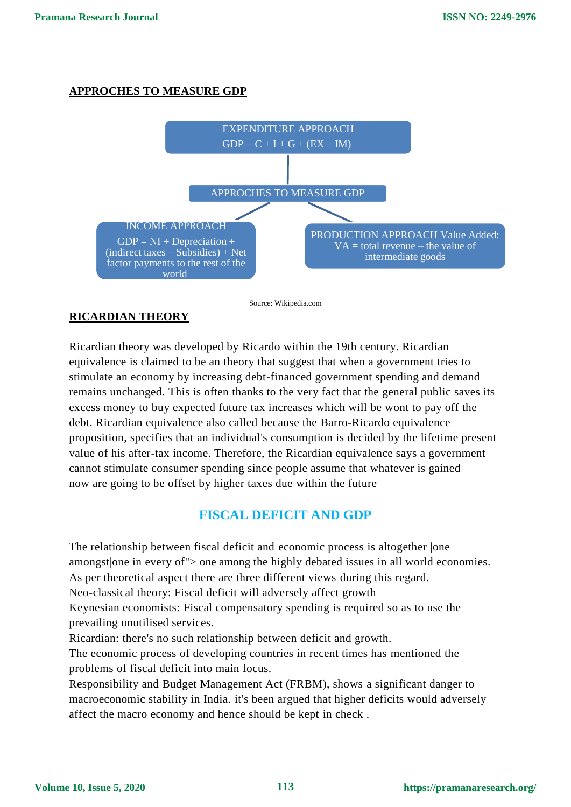#### **APPROCHES TO MEASURE GDP**



Source: Wikipedia.com

## **RICARDIAN THEORY**

Ricardian theory was developed by Ricardo within the 19th century. Ricardian equivalence is claimed to be an theory that suggest that when a government tries to stimulate an economy by increasing debt-financed government spending and demand remains unchanged. This is often thanks to the very fact that the general public saves its excess money to buy expected future tax increases which will be wont to pay off the debt. Ricardian equivalence also called because the Barro-Ricardo equivalence proposition, specifies that an individual's consumption is decided by the lifetime present value of his after-tax income. Therefore, the Ricardian equivalence says a government cannot stimulate consumer spending since people assume that whatever is gained now are going to be offset by higher taxes due within the future

# **FISCAL DEFICIT AND GDP**

The relationship between fiscal deficit and economic process is altogether |one amongst|one in every of"> one among the highly debated issues in all world economies. As per theoretical aspect there are three different views during this regard. Neo-classical theory: Fiscal deficit will adversely affect growth Keynesian economists: Fiscal compensatory spending is required so as to use the prevailing unutilised services.

Ricardian: there's no such relationship between deficit and growth.

The economic process of developing countries in recent times has mentioned the problems of fiscal deficit into main focus.

Responsibility and Budget Management Act (FRBM), shows a significant danger to macroeconomic stability in India. it's been argued that higher deficits would adversely affect the macro economy and hence should be kept in check .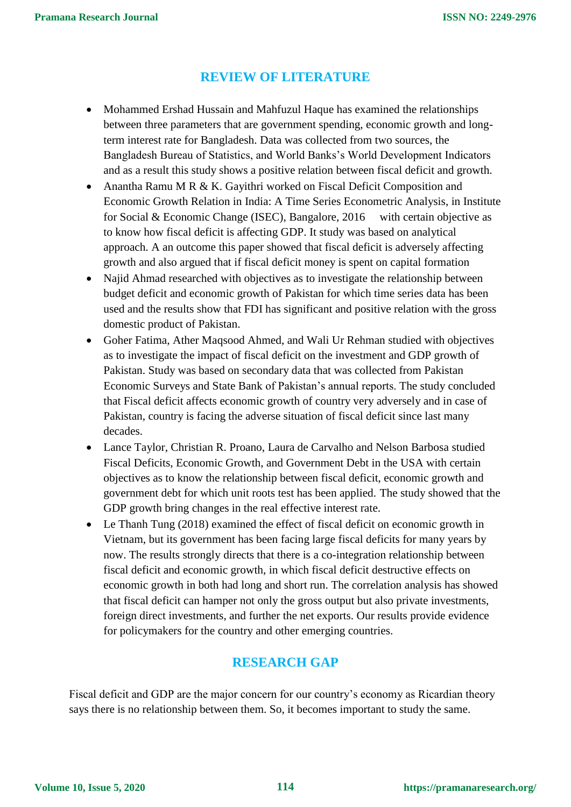## **REVIEW OF LITERATURE**

- Mohammed Ershad Hussain and Mahfuzul Haque has examined the relationships between three parameters that are government spending, economic growth and longterm interest rate for Bangladesh. Data was collected from two sources, the Bangladesh Bureau of Statistics, and World Banks's World Development Indicators and as a result this study shows a positive relation between fiscal deficit and growth.
- Anantha Ramu M R & K. Gayithri worked on Fiscal Deficit Composition and Economic Growth Relation in India: A Time Series Econometric Analysis, in Institute for Social & Economic Change (ISEC), Bangalore, 2016 with certain objective as to know how fiscal deficit is affecting GDP. It study was based on analytical approach. A an outcome this paper showed that fiscal deficit is adversely affecting growth and also argued that if fiscal deficit money is spent on capital formation
- Najid Ahmad researched with objectives as to investigate the relationship between budget deficit and economic growth of Pakistan for which time series data has been used and the results show that FDI has significant and positive relation with the gross domestic product of Pakistan.
- Goher Fatima, Ather Maqsood Ahmed, and Wali Ur Rehman studied with objectives as to investigate the impact of fiscal deficit on the investment and GDP growth of Pakistan. Study was based on secondary data that was collected from Pakistan Economic Surveys and State Bank of Pakistan's annual reports. The study concluded that Fiscal deficit affects economic growth of country very adversely and in case of Pakistan, country is facing the adverse situation of fiscal deficit since last many decades.
- Lance Taylor, Christian R. Proano, Laura de Carvalho and Nelson Barbosa studied Fiscal Deficits, Economic Growth, and Government Debt in the USA with certain objectives as to know the relationship between fiscal deficit, economic growth and government debt for which unit roots test has been applied. The study showed that the GDP growth bring changes in the real effective interest rate.
- Le Thanh Tung (2018) examined the effect of fiscal deficit on economic growth in Vietnam, but its government has been facing large fiscal deficits for many years by now. The results strongly directs that there is a co-integration relationship between fiscal deficit and economic growth, in which fiscal deficit destructive effects on economic growth in both had long and short run. The correlation analysis has showed that fiscal deficit can hamper not only the gross output but also private investments, foreign direct investments, and further the net exports. Our results provide evidence for policymakers for the country and other emerging countries.

## **RESEARCH GAP**

Fiscal deficit and GDP are the major concern for our country's economy as Ricardian theory says there is no relationship between them. So, it becomes important to study the same.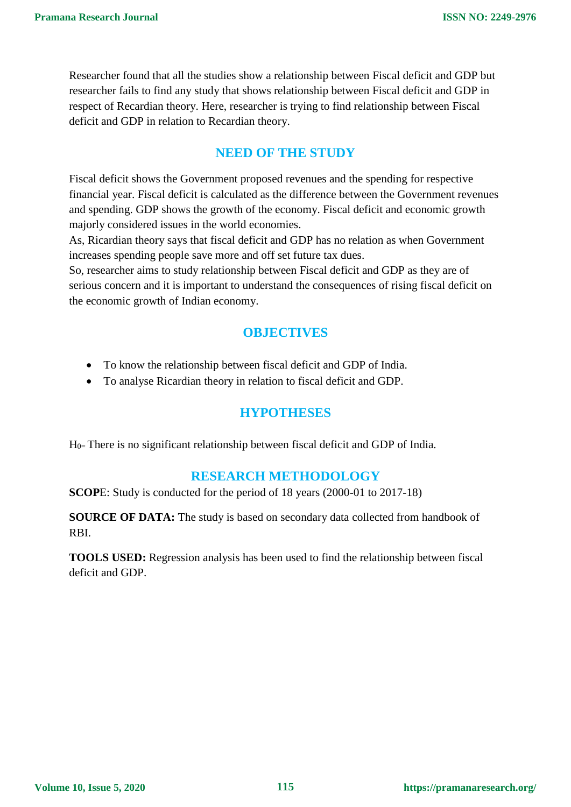Researcher found that all the studies show a relationship between Fiscal deficit and GDP but researcher fails to find any study that shows relationship between Fiscal deficit and GDP in respect of Recardian theory. Here, researcher is trying to find relationship between Fiscal deficit and GDP in relation to Recardian theory.

## **NEED OF THE STUDY**

Fiscal deficit shows the Government proposed revenues and the spending for respective financial year. Fiscal deficit is calculated as the difference between the Government revenues and spending. GDP shows the growth of the economy. Fiscal deficit and economic growth majorly considered issues in the world economies.

As, Ricardian theory says that fiscal deficit and GDP has no relation as when Government increases spending people save more and off set future tax dues.

So, researcher aims to study relationship between Fiscal deficit and GDP as they are of serious concern and it is important to understand the consequences of rising fiscal deficit on the economic growth of Indian economy.

## **OBJECTIVES**

- To know the relationship between fiscal deficit and GDP of India.
- To analyse Ricardian theory in relation to fiscal deficit and GDP.

#### **HYPOTHESES**

 $H<sub>0</sub>$  There is no significant relationship between fiscal deficit and GDP of India.

#### **RESEARCH METHODOLOGY**

**SCOPE:** Study is conducted for the period of 18 years (2000-01 to 2017-18)

**SOURCE OF DATA:** The study is based on secondary data collected from handbook of RBI.

**TOOLS USED:** Regression analysis has been used to find the relationship between fiscal deficit and GDP.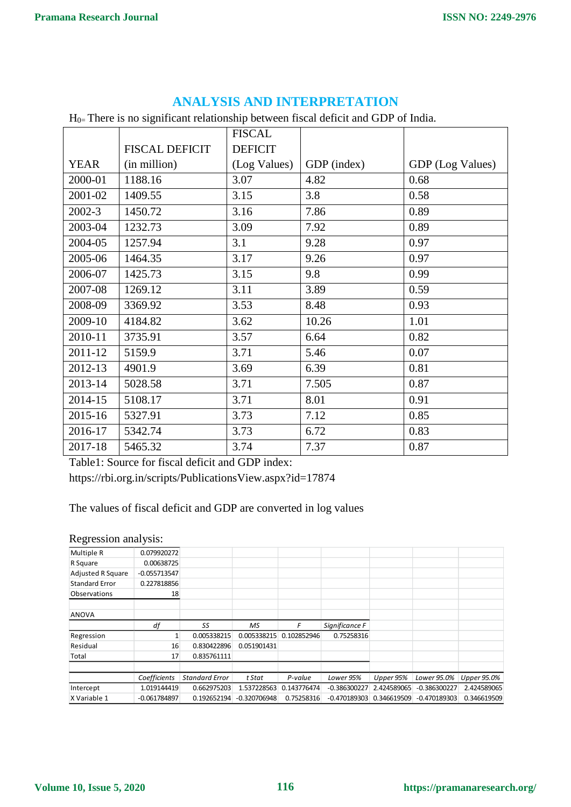|             |                       | <b>FISCAL</b>  |             |                  |
|-------------|-----------------------|----------------|-------------|------------------|
|             | <b>FISCAL DEFICIT</b> | <b>DEFICIT</b> |             |                  |
| <b>YEAR</b> | (in million)          | (Log Values)   | GDP (index) | GDP (Log Values) |
| 2000-01     | 1188.16               | 3.07           | 4.82        | 0.68             |
| 2001-02     | 1409.55               | 3.15           | 3.8         | 0.58             |
| 2002-3      | 1450.72               | 3.16           | 7.86        | 0.89             |
| 2003-04     | 1232.73               | 3.09           | 7.92        | 0.89             |
| 2004-05     | 1257.94               | 3.1            | 9.28        | 0.97             |
| 2005-06     | 1464.35               | 3.17           | 9.26        | 0.97             |
| 2006-07     | 1425.73               | 3.15           | 9.8         | 0.99             |
| 2007-08     | 1269.12               | 3.11           | 3.89        | 0.59             |
| 2008-09     | 3369.92               | 3.53           | 8.48        | 0.93             |
| 2009-10     | 4184.82               | 3.62           | 10.26       | 1.01             |
| 2010-11     | 3735.91               | 3.57           | 6.64        | 0.82             |
| 2011-12     | 5159.9                | 3.71           | 5.46        | 0.07             |
| 2012-13     | 4901.9                | 3.69           | 6.39        | 0.81             |
| 2013-14     | 5028.58               | 3.71           | 7.505       | 0.87             |
| 2014-15     | 5108.17               | 3.71           | 8.01        | 0.91             |
| 2015-16     | 5327.91               | 3.73           | 7.12        | 0.85             |
| 2016-17     | 5342.74               | 3.73           | 6.72        | 0.83             |
| 2017-18     | 5465.32               | 3.74           | 7.37        | 0.87             |

## **ANALYSIS AND INTERPRETATION**

H0= There is no significant relationship between fiscal deficit and GDP of India.

Table1: Source for fiscal deficit and GDP index:

https://rbi.org.in/scripts/PublicationsView.aspx?id=17874

The values of fiscal deficit and GDP are converted in log values

#### Regression analysis:

| Multiple R               | 0.079920272    |                       |                |             |                |             |                |             |
|--------------------------|----------------|-----------------------|----------------|-------------|----------------|-------------|----------------|-------------|
| R Square                 | 0.00638725     |                       |                |             |                |             |                |             |
| <b>Adjusted R Square</b> | $-0.055713547$ |                       |                |             |                |             |                |             |
| <b>Standard Error</b>    | 0.227818856    |                       |                |             |                |             |                |             |
| <b>Observations</b>      | 18             |                       |                |             |                |             |                |             |
|                          |                |                       |                |             |                |             |                |             |
| <b>ANOVA</b>             |                |                       |                |             |                |             |                |             |
|                          | df             | SS                    | МS             | F           | Significance F |             |                |             |
| Regression               |                | 0.005338215           | 0.005338215    | 0.102852946 | 0.75258316     |             |                |             |
| Residual                 | 16             | 0.830422896           | 0.051901431    |             |                |             |                |             |
| Total                    | 17             | 0.835761111           |                |             |                |             |                |             |
|                          |                |                       |                |             |                |             |                |             |
|                          | Coefficients   | <b>Standard Error</b> | t Stat         | P-value     | Lower 95%      | Upper 95%   | Lower 95.0%    | Upper 95.0% |
| Intercept                | 1.019144419    | 0.662975203           | 1.537228563    | 0.143776474 | $-0.386300227$ | 2.424589065 | $-0.386300227$ | 2.424589065 |
| X Variable 1             | $-0.061784897$ | 0.192652194           | $-0.320706948$ | 0.75258316  | $-0.470189303$ | 0.346619509 | $-0.470189303$ | 0.346619509 |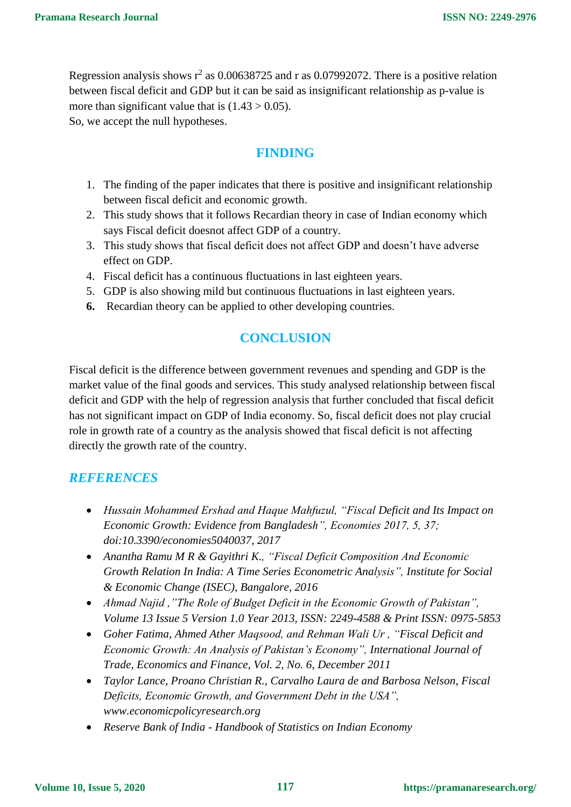Regression analysis shows  $r^2$  as 0.00638725 and r as 0.07992072. There is a positive relation between fiscal deficit and GDP but it can be said as insignificant relationship as p-value is more than significant value that is  $(1.43 > 0.05)$ .

So, we accept the null hypotheses.

## **FINDING**

- 1. The finding of the paper indicates that there is positive and insignificant relationship between fiscal deficit and economic growth.
- 2. This study shows that it follows Recardian theory in case of Indian economy which says Fiscal deficit doesnot affect GDP of a country.
- 3. This study shows that fiscal deficit does not affect GDP and doesn't have adverse effect on GDP.
- 4. Fiscal deficit has a continuous fluctuations in last eighteen years.
- 5. GDP is also showing mild but continuous fluctuations in last eighteen years.
- **6.** Recardian theory can be applied to other developing countries.

# **CONCLUSION**

Fiscal deficit is the difference between government revenues and spending and GDP is the market value of the final goods and services. This study analysed relationship between fiscal deficit and GDP with the help of regression analysis that further concluded that fiscal deficit has not significant impact on GDP of India economy. So, fiscal deficit does not play crucial role in growth rate of a country as the analysis showed that fiscal deficit is not affecting directly the growth rate of the country.

## *REFERENCES*

- *Hussain Mohammed Ershad and Haque Mahfuzul, "Fiscal Deficit and Its Impact on Economic Growth: Evidence from Bangladesh", Economies 2017, 5, 37; doi:10.3390/economies5040037, 2017*
- *Anantha Ramu M R & Gayithri K., "Fiscal Deficit Composition And Economic Growth Relation In India: A Time Series Econometric Analysis", Institute for Social & Economic Change (ISEC), Bangalore, 2016*
- *Ahmad Najid ,"The Role of Budget Deficit in the Economic Growth of Pakistan", Volume 13 Issue 5 Version 1.0 Year 2013, ISSN: 2249-4588 & Print ISSN: 0975-5853*
- *Goher Fatima, Ahmed Ather Maqsood, and Rehman Wali Ur , "Fiscal Deficit and Economic Growth: An Analysis of Pakistan's Economy", International Journal of Trade, Economics and Finance, Vol. 2, No. 6, December 2011*
- *Taylor Lance, Proano Christian R., Carvalho Laura de and Barbosa Nelson, Fiscal Deficits, Economic Growth, and Government Debt in the USA", www.economicpolicyresearch.org*
- *Reserve Bank of India - Handbook of Statistics on Indian Economy*